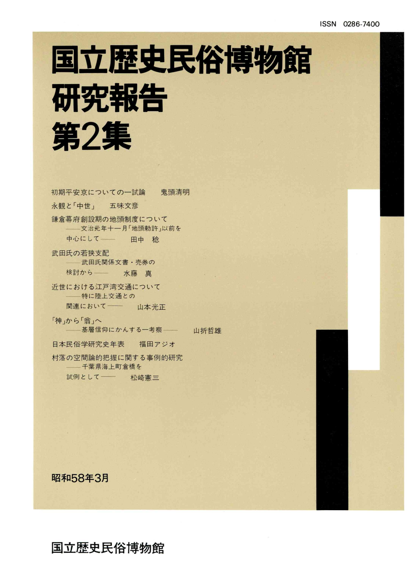## 国立歴史民俗博物館 研究報告 第2集

初期平安京についての一試論 鬼頭清明 永観と「中世」 五味文彦 鎌倉幕府創設期の地頭制度について 文治元年十一月「地頭勅許」以前を 中心にして 田中 稔 武田氏の若狭支配 ––武田氏関係文書·売券の

検討から - 水藤真

近世における江戸湾交通について ––特に陸上交通との 関連において–– 山本光正

「神」から「翁」へ ––基層信仰にかんする一考察––– 山折哲雄

日本民俗学研究史年表 福田アジオ

村落の空間論的把握に関する事例的研究 千葉県海上町倉橋を

試例として–– 松崎憲三

昭和58年3月

国立歴史民俗博物館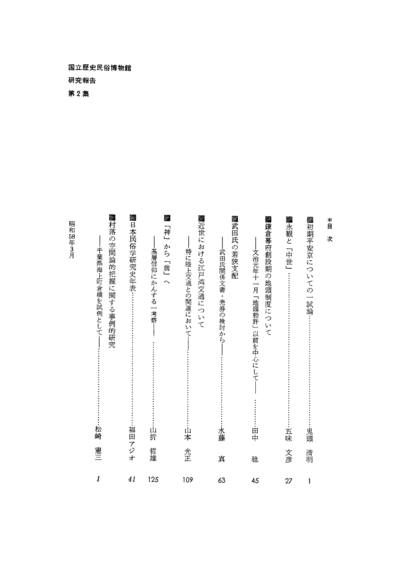国立歴史民俗博物館 研究報告

第2集

58

3月

■村落の空間論的把握に関する事例的研究 **▓日本民俗学研究史年表…………………………………………………福田アジオ** Ø. ■近世における江戸湾交通について ■武田氏の若狭支配 ■鎌倉幕府創設期の地頭制度について ▓永観と「中世」……………………………………………………………五味  $\overset{*}{\mathbb{B}}$ 麹「神」から「翁」へ 「神」から「翁」へ □本民俗学研究史年表…………………………………………………………福田アジ・ ──千葉県海上町倉橋を試例として──………………………………………………※崎 ■ ──基層信仰にかんする一考察────………………………………山折 哲雄 ──特に陸上交通との関連において──………………………………山本 光! -——武田氏関係文書・売券の検討から――………………………………水藤 ↓ ──文治元年十一月「地頭勅許」以前を中心にして── …………田中 次 と「中世」…………--…・……………-…・……………-…・:-五味 文彦 ―特に陸上交通との関連において――……………………………山本 ―文治元年十一月「地頭勅許」以前を中心にして -千葉県海上町倉橋を試例として――……………………………松崎 -基層信仰にかんする一考察―― 京についての一試論…………………………………………………鬼頭 清明  $\overline{\phantom{a}}$ 由中 憲三 哲雄 光正 文彦 清明 真 稔 11 41 125 109 63 45 27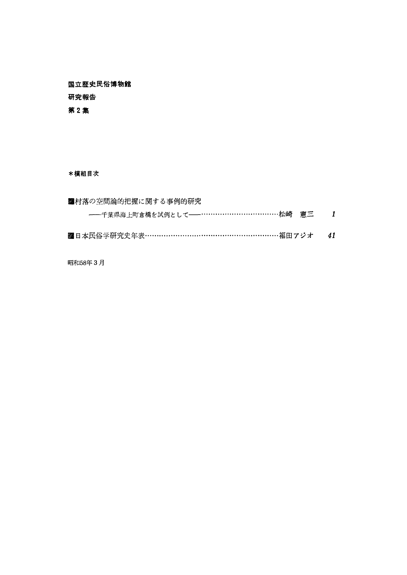国立歴史民俗博物館 研究報告 第2集

\*横組目次

| ■村落の空間論的把握に関する事例的研究                       |     |
|-------------------------------------------|-----|
| ----千葉県海上町倉橋を試例として-----……………………………松崎 - 憲三 | - 1 |
| ■ 日本民俗学研究史年表………………………………………………福田アジオ 41    |     |

昭和58年3月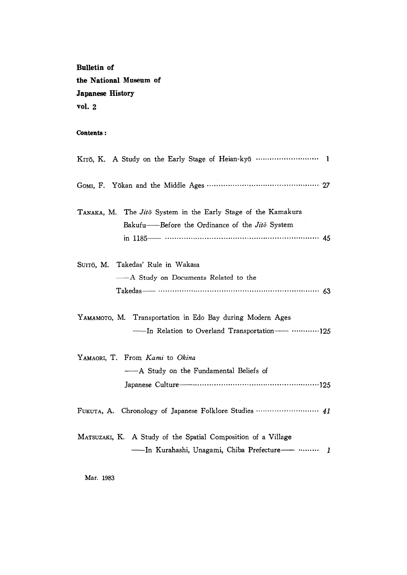Bulletin of the National Museum of Japanese History vol.  $2$ 

## Contents:

| KITō, K. A Study on the Early Stage of Heian-kyō  1                  |
|----------------------------------------------------------------------|
|                                                                      |
| TANAKA, M. The <i>Jito</i> System in the Early Stage of the Kamakura |
| Bakufu——Before the Ordinance of the Jito System                      |
|                                                                      |
| SUITŌ, M. Takedas' Rule in Wakasa                                    |
| — A Study on Documents Related to the                                |
|                                                                      |
| YAMAMOTO, M. Transportation in Edo Bay during Modern Ages            |
| - In Relation to Overland Transportation-  125                       |
| YAMAORI, T. From Kami to Okina                                       |
| - A Study on the Fundamental Beliefs of                              |
|                                                                      |
| FUKUTA, A. Chronology of Japanese Folklore Studies  41               |
| MATSUZAKI, K. A Study of the Spatial Composition of a Village        |
| ----In Kurahashi, Unagami, Chiba Prefecture------ ………<br>1           |

Mar. 1983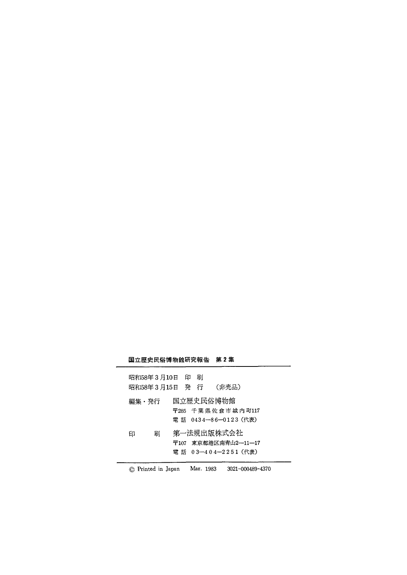## 国立歴史民俗博物館研究報告 第2集

| 昭和58年3月10日 印 刷<br>昭和58年3月15日 発 行 | (非売品)                                                      |  |
|----------------------------------|------------------------------------------------------------|--|
| 編集・発行                            | 国立歴史民俗博物館<br>〒285 千葉県佐倉市城内町117                             |  |
| 刷<br>印                           | 電 話 0434—86—0123(代表)<br>第一法規出版株式会社<br>〒107 東京都港区南青山2-11-17 |  |
|                                  | 電話 03-404-2251 (代表)                                        |  |

© Printed in Japan Mar. 1983 3021-000489-4370